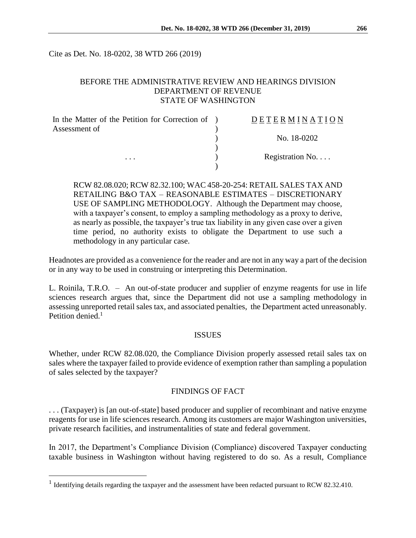Cite as Det. No. 18-0202, 38 WTD 266 (2019)

# BEFORE THE ADMINISTRATIVE REVIEW AND HEARINGS DIVISION DEPARTMENT OF REVENUE STATE OF WASHINGTON

| In the Matter of the Petition for Correction of ) | DETERMINATION   |
|---------------------------------------------------|-----------------|
| Assessment of                                     |                 |
|                                                   | No. 18-0202     |
|                                                   |                 |
| $\cdots$                                          | Registration No |
|                                                   |                 |

RCW 82.08.020; RCW 82.32.100; WAC 458-20-254: RETAIL SALES TAX AND RETAILING B&O TAX – REASONABLE ESTIMATES – DISCRETIONARY USE OF SAMPLING METHODOLOGY. Although the Department may choose, with a taxpayer's consent, to employ a sampling methodology as a proxy to derive, as nearly as possible, the taxpayer's true tax liability in any given case over a given time period, no authority exists to obligate the Department to use such a methodology in any particular case.

Headnotes are provided as a convenience for the reader and are not in any way a part of the decision or in any way to be used in construing or interpreting this Determination.

L. Roinila, T.R.O. – An out-of-state producer and supplier of enzyme reagents for use in life sciences research argues that, since the Department did not use a sampling methodology in assessing unreported retail sales tax, and associated penalties, the Department acted unreasonably. Petition denied  $<sup>1</sup>$ </sup>

### ISSUES

Whether, under RCW 82.08.020, the Compliance Division properly assessed retail sales tax on sales where the taxpayer failed to provide evidence of exemption rather than sampling a population of sales selected by the taxpayer?

### FINDINGS OF FACT

. . . (Taxpayer) is [an out-of-state] based producer and supplier of recombinant and native enzyme reagents for use in life sciences research. Among its customers are major Washington universities, private research facilities, and instrumentalities of state and federal government.

In 2017, the Department's Compliance Division (Compliance) discovered Taxpayer conducting taxable business in Washington without having registered to do so. As a result, Compliance

<sup>&</sup>lt;sup>1</sup> Identifying details regarding the taxpayer and the assessment have been redacted pursuant to RCW 82.32.410.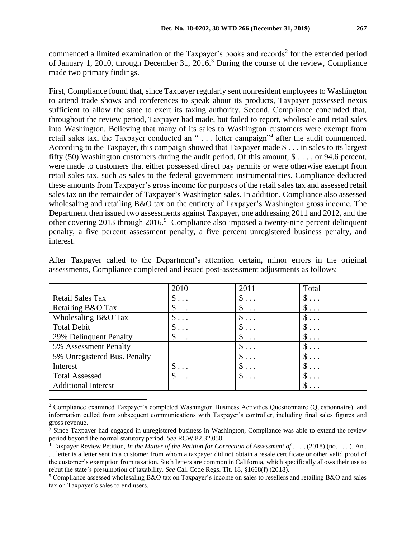commenced a limited examination of the Taxpayer's books and records<sup>2</sup> for the extended period of January 1, 2010, through December 31, 2016.<sup>3</sup> During the course of the review, Compliance made two primary findings.

First, Compliance found that, since Taxpayer regularly sent nonresident employees to Washington to attend trade shows and conferences to speak about its products, Taxpayer possessed nexus sufficient to allow the state to exert its taxing authority. Second, Compliance concluded that, throughout the review period, Taxpayer had made, but failed to report, wholesale and retail sales into Washington. Believing that many of its sales to Washington customers were exempt from retail sales tax, the Taxpayer conducted an "... letter campaign"<sup>4</sup> after the audit commenced. According to the Taxpayer, this campaign showed that Taxpayer made \$ . . . in sales to its largest fifty (50) Washington customers during the audit period. Of this amount, \$ . . . , or 94.6 percent, were made to customers that either possessed direct pay permits or were otherwise exempt from retail sales tax, such as sales to the federal government instrumentalities. Compliance deducted these amounts from Taxpayer's gross income for purposes of the retail sales tax and assessed retail sales tax on the remainder of Taxpayer's Washington sales. In addition, Compliance also assessed wholesaling and retailing B&O tax on the entirety of Taxpayer's Washington gross income. The Department then issued two assessments against Taxpayer, one addressing 2011 and 2012, and the other covering 2013 through 2016.<sup>5</sup> Compliance also imposed a twenty-nine percent delinquent penalty, a five percent assessment penalty, a five percent unregistered business penalty, and interest.

|                              | 2010           | 2011       | Total      |
|------------------------------|----------------|------------|------------|
| <b>Retail Sales Tax</b>      | $\$\ldots$     | $\$\ldots$ | $\$\ldots$ |
| Retailing B&O Tax            | $\$\ldots$     | $\$\ldots$ | $\$\ldots$ |
| Wholesaling B&O Tax          | $\$\ldots$     | $\$\ldots$ | $\$\ldots$ |
| <b>Total Debit</b>           | $\$\ldots$     | $\$\ldots$ | $\$\ldots$ |
| 29% Delinquent Penalty       | $\$\ldots$     | $\$\ldots$ | $\$\ldots$ |
| 5% Assessment Penalty        |                | $\$\ldots$ | $\$\ldots$ |
| 5% Unregistered Bus. Penalty |                | $\$\ldots$ | $\$\ldots$ |
| Interest                     | \$<br>$\cdots$ | $\$\ldots$ | $\$\ldots$ |
| <b>Total Assessed</b>        | \$<br>$\ddots$ | $\$\ldots$ | $\$\ldots$ |
| <b>Additional Interest</b>   |                |            | \$         |

After Taxpayer called to the Department's attention certain, minor errors in the original assessments, Compliance completed and issued post-assessment adjustments as follows:

<sup>2</sup> Compliance examined Taxpayer's completed Washington Business Activities Questionnaire (Questionnaire), and information culled from subsequent communications with Taxpayer's controller, including final sales figures and gross revenue.

<sup>&</sup>lt;sup>3</sup> Since Taxpayer had engaged in unregistered business in Washington, Compliance was able to extend the review period beyond the normal statutory period. *See* RCW 82.32.050.

<sup>4</sup> Taxpayer Review Petition, *In the Matter of the Petition for Correction of Assessment of . . .* , (2018) (no. . . . ). An . . . letter is a letter sent to a customer from whom a taxpayer did not obtain a resale certificate or other valid proof of the customer's exemption from taxation. Such letters are common in California, which specifically allows their use to rebut the state's presumption of taxability. *See* Cal. Code Regs. Tit. 18, §1668(f) (2018).

<sup>5</sup> Compliance assessed wholesaling B&O tax on Taxpayer's income on sales to resellers and retailing B&O and sales tax on Taxpayer's sales to end users.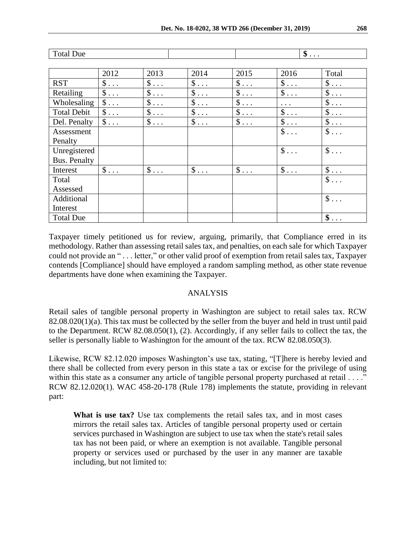| <b>Total Due</b>   |            |            | $\$\ldots$ |            |            |                           |
|--------------------|------------|------------|------------|------------|------------|---------------------------|
|                    |            |            |            |            |            |                           |
|                    | 2012       | 2013       | 2014       | 2015       | 2016       | Total                     |
| <b>RST</b>         | $\$\ldots$ | $\$\ldots$ | $\$\ldots$ | $\$\ldots$ | $\$\ldots$ | $\$\ldots$                |
| Retailing          | $\$\ldots$ | $\$\ldots$ | $\$\ldots$ | $\$\ldots$ | $\$\ldots$ | $\$\ldots$                |
| Wholesaling        | $\$\ldots$ | $\$\ldots$ | $\$\ldots$ | $\$\ldots$ | $\cdots$   | $\$\ldots$                |
| <b>Total Debit</b> | $\$\ldots$ | $\$\ldots$ | $\$\ldots$ | $\$\ldots$ | $\$\ldots$ | $\$\ldots$                |
| Del. Penalty       | $\$\ldots$ | $\$\ldots$ | $\$\ldots$ | $\$\ldots$ | $\$\ldots$ | $\$\ldots$                |
| Assessment         |            |            |            |            | $\$\ldots$ | $\$\ldots$                |
| Penalty            |            |            |            |            |            |                           |
| Unregistered       |            |            |            |            | $\$\ldots$ | $\$\ldots$                |
| Bus. Penalty       |            |            |            |            |            |                           |
| Interest           | $\$\ldots$ | $\$\ldots$ | $\$\ldots$ | $\$\ldots$ | $\$\ldots$ | $\$\ldots$                |
| Total              |            |            |            |            |            | $\mathcal{S}$<br>$\ddots$ |
| Assessed           |            |            |            |            |            |                           |
| Additional         |            |            |            |            |            | $\$\ldots$                |
| Interest           |            |            |            |            |            |                           |
| <b>Total Due</b>   |            |            |            |            |            | $\$\ldots$                |

Taxpayer timely petitioned us for review, arguing, primarily, that Compliance erred in its methodology. Rather than assessing retail sales tax, and penalties, on each sale for which Taxpayer could not provide an " . . . letter," or other valid proof of exemption from retail sales tax, Taxpayer contends [Compliance] should have employed a random sampling method, as other state revenue departments have done when examining the Taxpayer.

### ANALYSIS

Retail sales of tangible personal property in Washington are subject to retail sales tax. RCW 82.08.020(1)(a). This tax must be collected by the seller from the buyer and held in trust until paid to the Department. RCW 82.08.050(1), (2). Accordingly, if any seller fails to collect the tax, the seller is personally liable to Washington for the amount of the tax. RCW 82.08.050(3).

Likewise, RCW 82.12.020 imposes Washington's use tax, stating, "[T]here is hereby levied and there shall be collected from every person in this state a tax or excise for the privilege of using within this state as a consumer any article of tangible personal property purchased at retail . . . ." RCW 82.12.020(1). WAC 458-20-178 (Rule 178) implements the statute, providing in relevant part:

**What is use tax?** Use tax complements the retail sales tax, and in most cases mirrors the retail sales tax. Articles of tangible personal property used or certain services purchased in Washington are subject to use tax when the state's retail sales tax has not been paid, or where an exemption is not available. Tangible personal property or services used or purchased by the user in any manner are taxable including, but not limited to: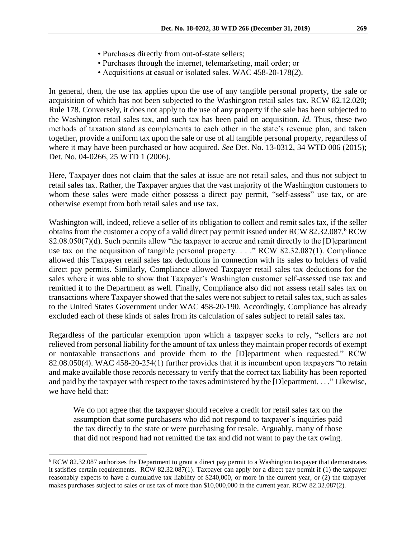- Purchases directly from out-of-state sellers;
- Purchases through the internet, telemarketing, mail order; or
- Acquisitions at casual or isolated sales. WAC 458-20-178(2).

In general, then, the use tax applies upon the use of any tangible personal property, the sale or acquisition of which has not been subjected to the Washington retail sales tax. RCW 82.12.020; Rule 178. Conversely, it does not apply to the use of any property if the sale has been subjected to the Washington retail sales tax, and such tax has been paid on acquisition. *Id.* Thus, these two methods of taxation stand as complements to each other in the state's revenue plan, and taken together, provide a uniform tax upon the sale or use of all tangible personal property, regardless of where it may have been purchased or how acquired. *See* Det. No. 13-0312, 34 WTD 006 (2015); Det. No. 04-0266, 25 WTD 1 (2006).

Here, Taxpayer does not claim that the sales at issue are not retail sales, and thus not subject to retail sales tax. Rather, the Taxpayer argues that the vast majority of the Washington customers to whom these sales were made either possess a direct pay permit, "self-assess" use tax, or are otherwise exempt from both retail sales and use tax.

Washington will, indeed, relieve a seller of its obligation to collect and remit sales tax, if the seller obtains from the customer a copy of a valid direct pay permit issued under RCW 82.32.087.<sup>6</sup> RCW 82.08.050(7)(d). Such permits allow "the taxpayer to accrue and remit directly to the [D]epartment use tax on the acquisition of tangible personal property. . . ." RCW 82.32.087(1). Compliance allowed this Taxpayer retail sales tax deductions in connection with its sales to holders of valid direct pay permits. Similarly, Compliance allowed Taxpayer retail sales tax deductions for the sales where it was able to show that Taxpayer's Washington customer self-assessed use tax and remitted it to the Department as well. Finally, Compliance also did not assess retail sales tax on transactions where Taxpayer showed that the sales were not subject to retail sales tax, such as sales to the United States Government under WAC 458-20-190. Accordingly, Compliance has already excluded each of these kinds of sales from its calculation of sales subject to retail sales tax.

Regardless of the particular exemption upon which a taxpayer seeks to rely, "sellers are not relieved from personal liability for the amount of tax unless they maintain proper records of exempt or nontaxable transactions and provide them to the [D]epartment when requested." RCW 82.08.050(4). WAC 458-20-254(1) further provides that it is incumbent upon taxpayers "to retain and make available those records necessary to verify that the correct tax liability has been reported and paid by the taxpayer with respect to the taxes administered by the [D]epartment. . . ." Likewise, we have held that:

We do not agree that the taxpayer should receive a credit for retail sales tax on the assumption that some purchasers who did not respond to taxpayer's inquiries paid the tax directly to the state or were purchasing for resale. Arguably, many of those that did not respond had not remitted the tax and did not want to pay the tax owing.

<sup>6</sup> RCW 82.32.087 authorizes the Department to grant a direct pay permit to a Washington taxpayer that demonstrates it satisfies certain requirements. RCW 82.32.087(1). Taxpayer can apply for a direct pay permit if (1) the taxpayer reasonably expects to have a cumulative tax liability of \$240,000, or more in the current year, or (2) the taxpayer makes purchases subject to sales or use tax of more than \$10,000,000 in the current year. RCW 82.32.087(2).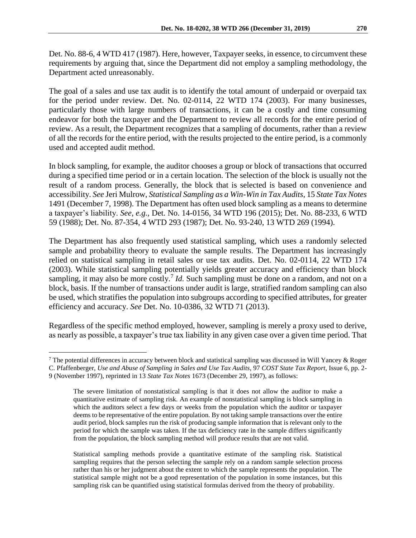The goal of a sales and use tax audit is to identify the total amount of underpaid or overpaid tax for the period under review. Det. No. 02-0114, 22 WTD 174 (2003). For many businesses, particularly those with large numbers of transactions, it can be a costly and time consuming endeavor for both the taxpayer and the Department to review all records for the entire period of review. As a result, the Department recognizes that a sampling of documents, rather than a review of all the records for the entire period, with the results projected to the entire period, is a commonly used and accepted audit method.

In block sampling, for example, the auditor chooses a group or block of transactions that occurred during a specified time period or in a certain location. The selection of the block is usually not the result of a random process. Generally, the block that is selected is based on convenience and accessibility. *See* Jeri Mulrow, *Statistical Sampling as a Win-Win in Tax Audits*, 15 *State Tax Notes* 1491 (December 7, 1998). The Department has often used block sampling as a means to determine a taxpayer's liability. *See, e.g.,* Det. No. 14-0156, 34 WTD 196 (2015); Det. No. 88-233, 6 WTD 59 (1988); Det. No. 87-354, 4 WTD 293 (1987); Det. No. 93-240, 13 WTD 269 (1994).

The Department has also frequently used statistical sampling, which uses a randomly selected sample and probability theory to evaluate the sample results. The Department has increasingly relied on statistical sampling in retail sales or use tax audits. Det. No. 02-0114, 22 WTD 174 (2003). While statistical sampling potentially yields greater accuracy and efficiency than block sampling, it may also be more costly.<sup>7</sup> *Id*. Such sampling must be done on a random, and not on a block, basis. If the number of transactions under audit is large, stratified random sampling can also be used, which stratifies the population into subgroups according to specified attributes, for greater efficiency and accuracy. *See* Det. No. 10-0386, 32 WTD 71 (2013).

Regardless of the specific method employed, however, sampling is merely a proxy used to derive, as nearly as possible, a taxpayer's true tax liability in any given case over a given time period. That

<sup>&</sup>lt;sup>7</sup> The potential differences in accuracy between block and statistical sampling was discussed in Will Yancey & Roger C. Pfaffenberger, *Use and Abuse of Sampling in Sales and Use Tax Audits*, 97 *COST State Tax Report*, Issue 6, pp. 2- 9 (November 1997), reprinted in 13 *State Tax Notes* 1673 (December 29, 1997), as follows:

The severe limitation of nonstatistical sampling is that it does not allow the auditor to make a quantitative estimate of sampling risk. An example of nonstatistical sampling is block sampling in which the auditors select a few days or weeks from the population which the auditor or taxpayer deems to be representative of the entire population. By not taking sample transactions over the entire audit period, block samples run the risk of producing sample information that is relevant only to the period for which the sample was taken. If the tax deficiency rate in the sample differs significantly from the population, the block sampling method will produce results that are not valid.

Statistical sampling methods provide a quantitative estimate of the sampling risk. Statistical sampling requires that the person selecting the sample rely on a random sample selection process rather than his or her judgment about the extent to which the sample represents the population. The statistical sample might not be a good representation of the population in some instances, but this sampling risk can be quantified using statistical formulas derived from the theory of probability.